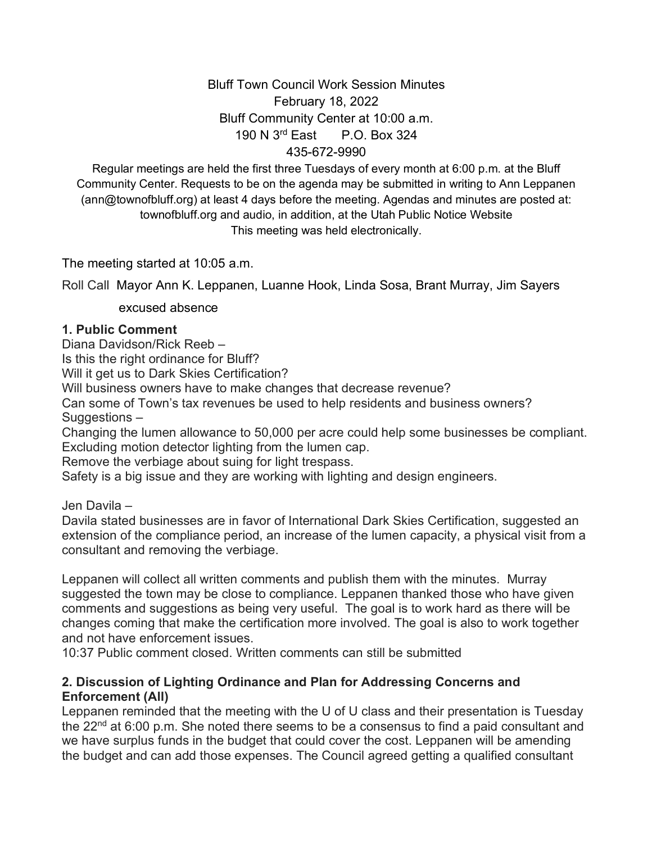Bluff Town Council Work Session Minutes February 18, 2022 Bluff Community Center at 10:00 a.m. 190 N 3rd East P.O. Box 324 435-672-9990

Regular meetings are held the first three Tuesdays of every month at 6:00 p.m. at the Bluff Community Center. Requests to be on the agenda may be submitted in writing to Ann Leppanen (ann@townofbluff.org) at least 4 days before the meeting. Agendas and minutes are posted at: townofbluff.org and audio, in addition, at the Utah Public Notice Website This meeting was held electronically.

The meeting started at 10:05 a.m.

Roll Call Mayor Ann K. Leppanen, Luanne Hook, Linda Sosa, Brant Murray, Jim Sayers

excused absence

#### **1. Public Comment**

Diana Davidson/Rick Reeb –

Is this the right ordinance for Bluff?

Will it get us to Dark Skies Certification?

Will business owners have to make changes that decrease revenue?

Can some of Town's tax revenues be used to help residents and business owners? Suggestions –

Changing the lumen allowance to 50,000 per acre could help some businesses be compliant. Excluding motion detector lighting from the lumen cap.

Remove the verbiage about suing for light trespass.

Safety is a big issue and they are working with lighting and design engineers.

Jen Davila –

Davila stated businesses are in favor of International Dark Skies Certification, suggested an extension of the compliance period, an increase of the lumen capacity, a physical visit from a consultant and removing the verbiage.

Leppanen will collect all written comments and publish them with the minutes. Murray suggested the town may be close to compliance. Leppanen thanked those who have given comments and suggestions as being very useful. The goal is to work hard as there will be changes coming that make the certification more involved. The goal is also to work together and not have enforcement issues.

10:37 Public comment closed. Written comments can still be submitted

### **2. Discussion of Lighting Ordinance and Plan for Addressing Concerns and Enforcement (All)**

Leppanen reminded that the meeting with the U of U class and their presentation is Tuesday the  $22^{nd}$  at 6:00 p.m. She noted there seems to be a consensus to find a paid consultant and we have surplus funds in the budget that could cover the cost. Leppanen will be amending the budget and can add those expenses. The Council agreed getting a qualified consultant